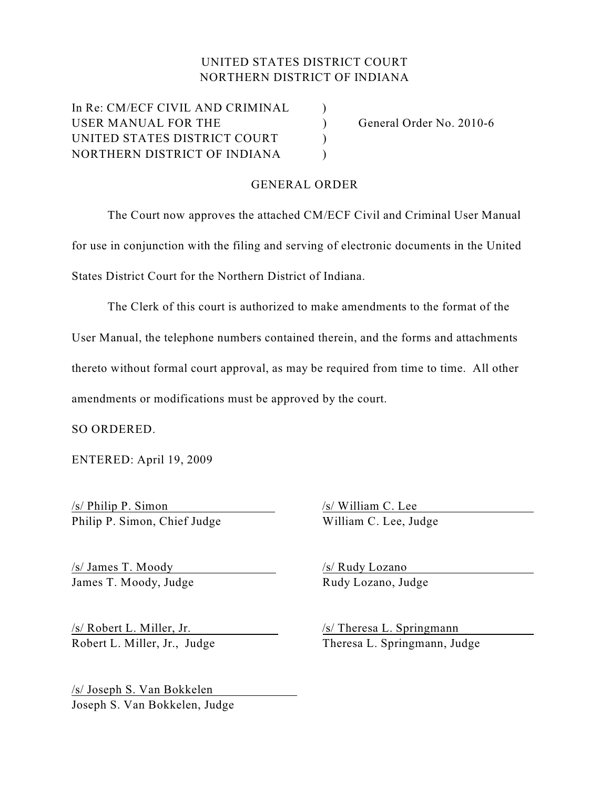## UNITED STATES DISTRICT COURT NORTHERN DISTRICT OF INDIANA

In Re: CM/ECF CIVIL AND CRIMINAL  $)$ USER MANUAL FOR THE  $\qquad \qquad$  (General Order No. 2010-6) UNITED STATES DISTRICT COURT  $\qquad \qquad$  ) NORTHERN DISTRICT OF INDIANA  $\qquad$ )

#### GENERAL ORDER

The Court now approves the attached CM/ECF Civil and Criminal User Manual for use in conjunction with the filing and serving of electronic documents in the United States District Court for the Northern District of Indiana.

The Clerk of this court is authorized to make amendments to the format of the

User Manual, the telephone numbers contained therein, and the forms and attachments thereto without formal court approval, as may be required from time to time. All other amendments or modifications must be approved by the court.

SO ORDERED.

ENTERED: April 19, 2009

 $\sqrt{s}$  Philip P. Simon  $\sqrt{s}$  William C. Lee Philip P. Simon, Chief Judge William C. Lee, Judge

/s/ James T. Moody /s/ Rudy Lozano James T. Moody, Judge Rudy Lozano, Judge

/s/ Robert L. Miller, Jr. 1898. [2015] /s/ Theresa L. Springmann

Robert L. Miller, Jr., Judge Theresa L. Springmann, Judge

/s/ Joseph S. Van Bokkelen Joseph S. Van Bokkelen, Judge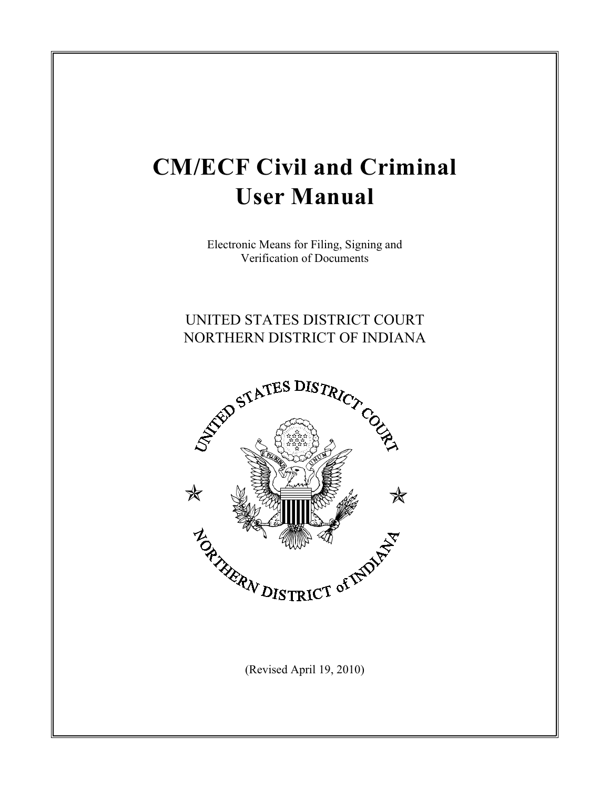# **CM/ECF Civil and Criminal User Manual**

Electronic Means for Filing, Signing and Verification of Documents

## UNITED STATES DISTRICT COURT NORTHERN DISTRICT OF INDIANA



(Revised April 19, 2010)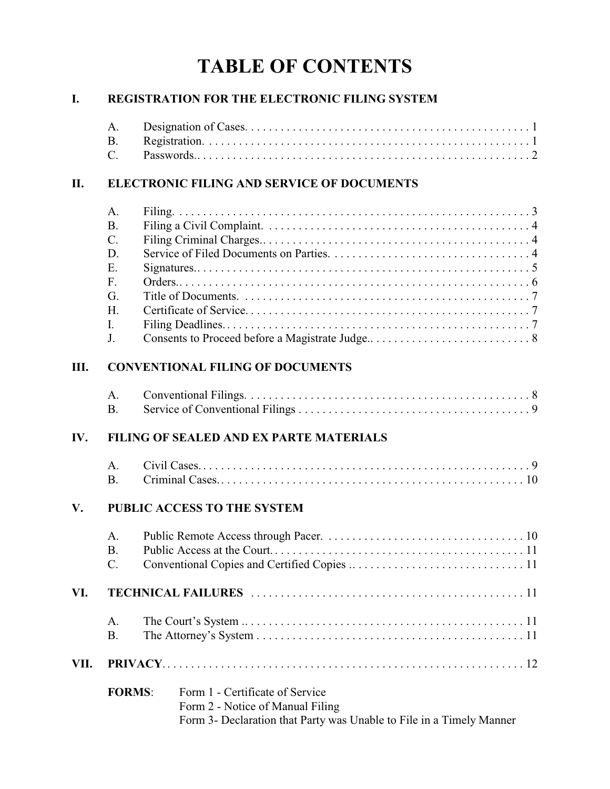# **TABLE OF CONTENTS**

## **I. REGISTRATION FOR THE ELECTRONIC FILING SYSTEM**

## **II. ELECTRONIC FILING AND SERVICE OF DOCUMENTS**

| A.             |  |
|----------------|--|
| <b>B.</b>      |  |
| C.             |  |
| D.             |  |
| E.             |  |
| $\mathbf{F}$ . |  |
| G.             |  |
| H.             |  |
| $\mathbf{I}$ . |  |
| $J_{\cdot}$    |  |

### **III. CONVENTIONAL FILING OF DOCUMENTS**

## **IV. FILING OF SEALED AND EX PARTE MATERIALS**

### **V. PUBLIC ACCESS TO THE SYSTEM**

|      | A.<br>Β.<br>$\mathcal{C}$ . |                                                                                                                                             |
|------|-----------------------------|---------------------------------------------------------------------------------------------------------------------------------------------|
| VI.  |                             |                                                                                                                                             |
|      | A.<br>Β.                    |                                                                                                                                             |
| VII. |                             |                                                                                                                                             |
|      | <b>FORMS:</b>               | Form 1 - Certificate of Service<br>Form 2 - Notice of Manual Filing<br>Form 3- Declaration that Party was Unable to File in a Timely Manner |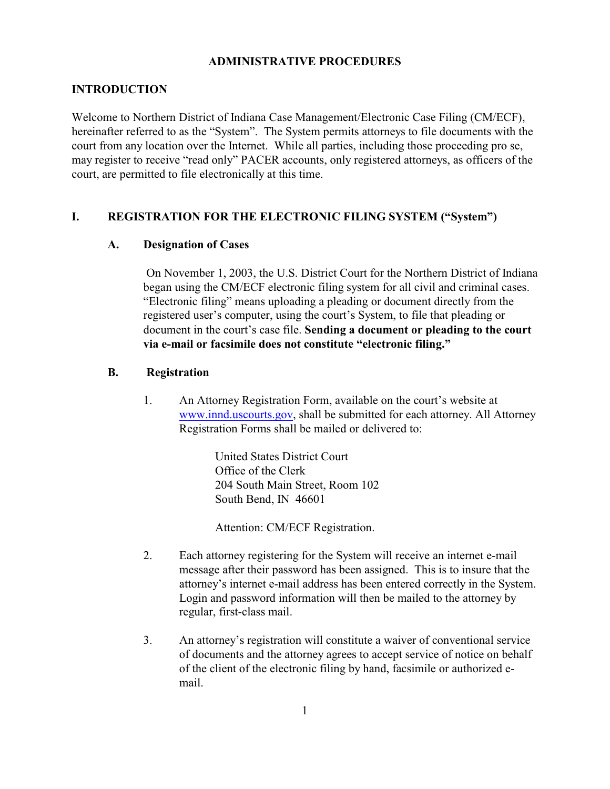#### **ADMINISTRATIVE PROCEDURES**

#### **INTRODUCTION**

Welcome to Northern District of Indiana Case Management/Electronic Case Filing (CM/ECF), hereinafter referred to as the "System". The System permits attorneys to file documents with the court from any location over the Internet. While all parties, including those proceeding pro se, may register to receive "read only" PACER accounts, only registered attorneys, as officers of the court, are permitted to file electronically at this time.

#### **I. REGISTRATION FOR THE ELECTRONIC FILING SYSTEM ("System")**

#### **A. Designation of Cases**

 On November 1, 2003, the U.S. District Court for the Northern District of Indiana began using the CM/ECF electronic filing system for all civil and criminal cases. "Electronic filing" means uploading a pleading or document directly from the registered user's computer, using the court's System, to file that pleading or document in the court's case file. **Sending a document or pleading to the court via e-mail or facsimile does not constitute "electronic filing."**

#### **B. Registration**

1. An Attorney Registration Form, available on the court's website at [www.innd.uscourts.gov](http://www.innd.uscourts.gov), shall be submitted for each attorney. All Attorney Registration Forms shall be mailed or delivered to:

> United States District Court Office of the Clerk 204 South Main Street, Room 102 South Bend, IN 46601

Attention: CM/ECF Registration.

- 2. Each attorney registering for the System will receive an internet e-mail message after their password has been assigned. This is to insure that the attorney's internet e-mail address has been entered correctly in the System. Login and password information will then be mailed to the attorney by regular, first-class mail.
- 3. An attorney's registration will constitute a waiver of conventional service of documents and the attorney agrees to accept service of notice on behalf of the client of the electronic filing by hand, facsimile or authorized email.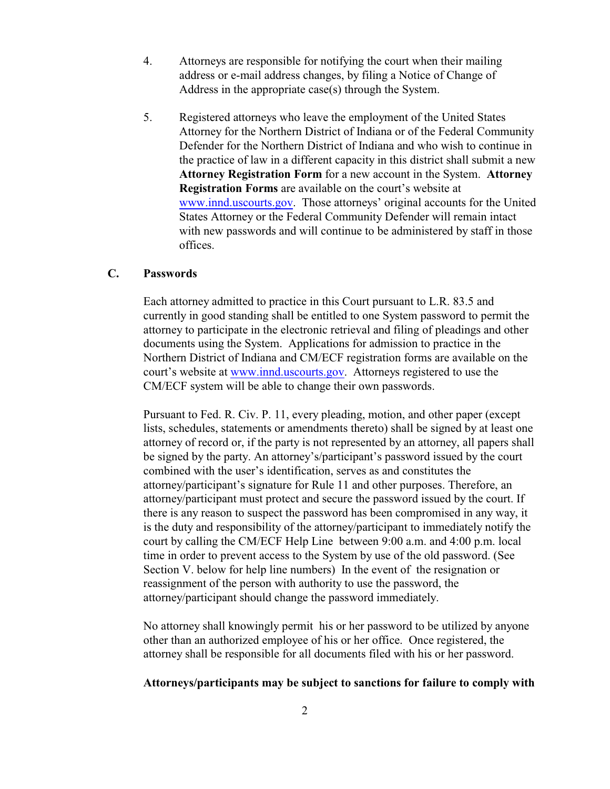- 4. Attorneys are responsible for notifying the court when their mailing address or e-mail address changes, by filing a Notice of Change of Address in the appropriate case(s) through the System.
- 5. Registered attorneys who leave the employment of the United States Attorney for the Northern District of Indiana or of the Federal Community Defender for the Northern District of Indiana and who wish to continue in the practice of law in a different capacity in this district shall submit a new **Attorney Registration Form** for a new account in the System. **Attorney Registration Forms** are available on the court's website at [www.innd.uscourts.gov](http://www.innd.uscourts.gov.). Those attorneys' original accounts for the United States Attorney or the Federal Community Defender will remain intact with new passwords and will continue to be administered by staff in those offices.

#### **C. Passwords**

Each attorney admitted to practice in this Court pursuant to L.R. 83.5 and currently in good standing shall be entitled to one System password to permit the attorney to participate in the electronic retrieval and filing of pleadings and other documents using the System. Applications for admission to practice in the Northern District of Indiana and CM/ECF registration forms are available on the court's website at [www.innd.uscourts.gov](http://www.innd.uscourts.gov). Attorneys registered to use the CM/ECF system will be able to change their own passwords.

Pursuant to Fed. R. Civ. P. 11, every pleading, motion, and other paper (except lists, schedules, statements or amendments thereto) shall be signed by at least one attorney of record or, if the party is not represented by an attorney, all papers shall be signed by the party. An attorney's/participant's password issued by the court combined with the user's identification, serves as and constitutes the attorney/participant's signature for Rule 11 and other purposes. Therefore, an attorney/participant must protect and secure the password issued by the court. If there is any reason to suspect the password has been compromised in any way, it is the duty and responsibility of the attorney/participant to immediately notify the court by calling the CM/ECF Help Line between 9:00 a.m. and 4:00 p.m. local time in order to prevent access to the System by use of the old password. (See Section V. below for help line numbers) In the event of the resignation or reassignment of the person with authority to use the password, the attorney/participant should change the password immediately.

No attorney shall knowingly permit his or her password to be utilized by anyone other than an authorized employee of his or her office. Once registered, the attorney shall be responsible for all documents filed with his or her password.

#### **Attorneys/participants may be subject to sanctions for failure to comply with**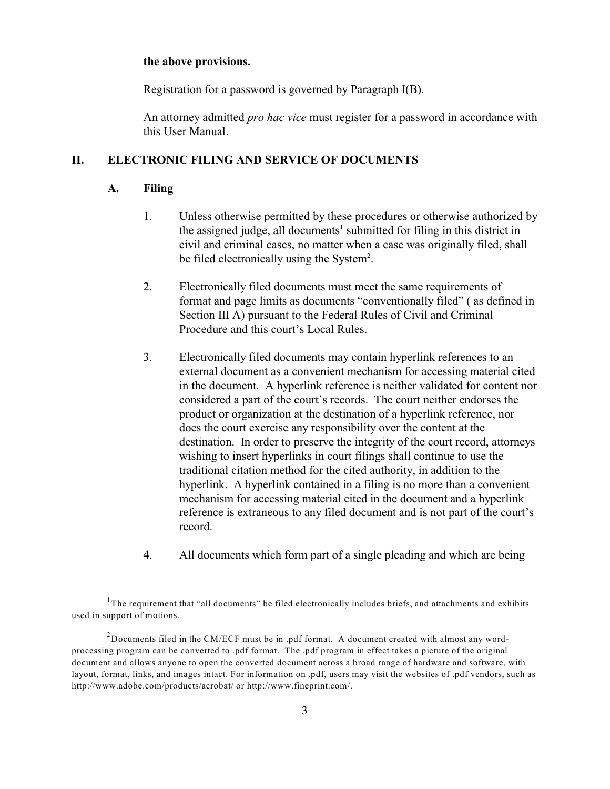#### **the above provisions.**

Registration for a password is governed by Paragraph I(B).

An attorney admitted *pro hac vice* must register for a password in accordance with this User Manual.

## **II. ELECTRONIC FILING AND SERVICE OF DOCUMENTS**

#### **A. Filing**

- 1. Unless otherwise permitted by these procedures or otherwise authorized by the assigned judge, all documents<sup>1</sup> submitted for filing in this district in civil and criminal cases, no matter when a case was originally filed, shall be filed electronically using the System<sup>2</sup>.
- 2. Electronically filed documents must meet the same requirements of format and page limits as documents "conventionally filed" ( as defined in Section III A) pursuant to the Federal Rules of Civil and Criminal Procedure and this court's Local Rules.
- 3. Electronically filed documents may contain hyperlink references to an external document as a convenient mechanism for accessing material cited in the document. A hyperlink reference is neither validated for content nor considered a part of the court's records. The court neither endorses the product or organization at the destination of a hyperlink reference, nor does the court exercise any responsibility over the content at the destination. In order to preserve the integrity of the court record, attorneys wishing to insert hyperlinks in court filings shall continue to use the traditional citation method for the cited authority, in addition to the hyperlink. A hyperlink contained in a filing is no more than a convenient mechanism for accessing material cited in the document and a hyperlink reference is extraneous to any filed document and is not part of the court's record.
- 4. All documents which form part of a single pleading and which are being

 $1$ The requirement that "all documents" be filed electronically includes briefs, and attachments and exhibits used in support of motions.

 $^{2}$ Documents filed in the CM/ECF must be in .pdf format. A document created with almost any wordprocessing program can be converted to .pdf format. The .pdf program in effect takes a picture of the original document and allows anyone to open the converted document across a broad range of hardware and software, with layout, format, links, and images intact. For information on .pdf, users may visit the websites of .pdf vendors, such as http://www.adobe.com/products/acrobat/ or http://www.fineprint.com/.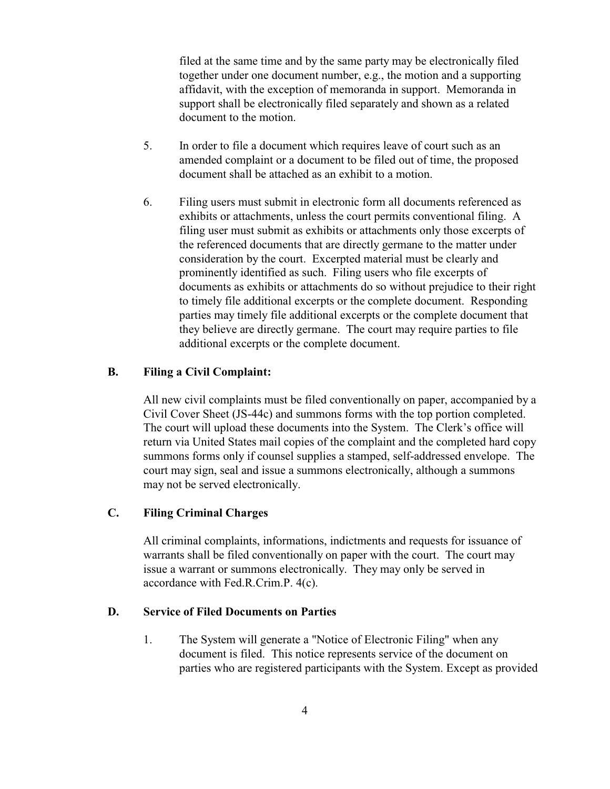filed at the same time and by the same party may be electronically filed together under one document number, e.g., the motion and a supporting affidavit, with the exception of memoranda in support. Memoranda in support shall be electronically filed separately and shown as a related document to the motion.

- 5. In order to file a document which requires leave of court such as an amended complaint or a document to be filed out of time, the proposed document shall be attached as an exhibit to a motion.
- 6. Filing users must submit in electronic form all documents referenced as exhibits or attachments, unless the court permits conventional filing. A filing user must submit as exhibits or attachments only those excerpts of the referenced documents that are directly germane to the matter under consideration by the court. Excerpted material must be clearly and prominently identified as such. Filing users who file excerpts of documents as exhibits or attachments do so without prejudice to their right to timely file additional excerpts or the complete document. Responding parties may timely file additional excerpts or the complete document that they believe are directly germane. The court may require parties to file additional excerpts or the complete document.

#### **B. Filing a Civil Complaint:**

All new civil complaints must be filed conventionally on paper, accompanied by a Civil Cover Sheet (JS-44c) and summons forms with the top portion completed. The court will upload these documents into the System. The Clerk's office will return via United States mail copies of the complaint and the completed hard copy summons forms only if counsel supplies a stamped, self-addressed envelope. The court may sign, seal and issue a summons electronically, although a summons may not be served electronically.

#### **C. Filing Criminal Charges**

All criminal complaints, informations, indictments and requests for issuance of warrants shall be filed conventionally on paper with the court. The court may issue a warrant or summons electronically. They may only be served in accordance with Fed.R.Crim.P. 4(c).

#### **D. Service of Filed Documents on Parties**

1. The System will generate a "Notice of Electronic Filing" when any document is filed. This notice represents service of the document on parties who are registered participants with the System. Except as provided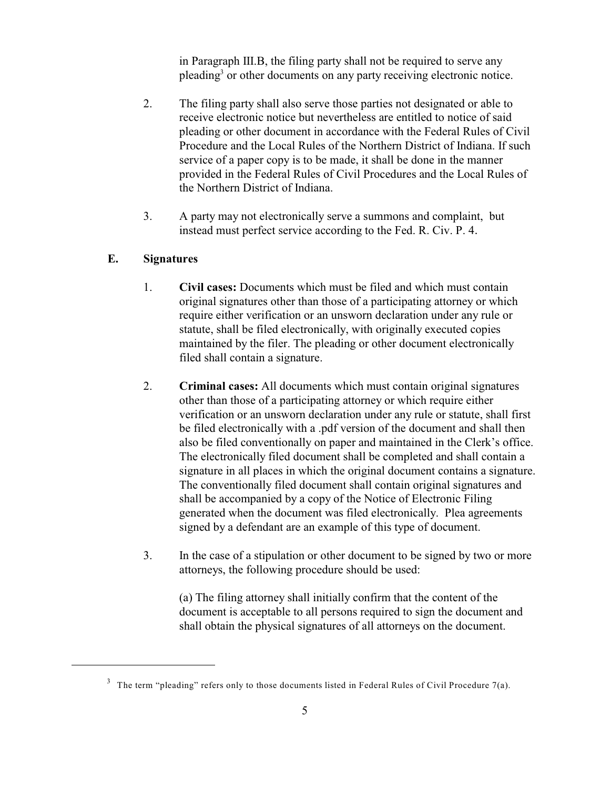in Paragraph III.B, the filing party shall not be required to serve any pleading<sup>3</sup> or other documents on any party receiving electronic notice.

- 2. The filing party shall also serve those parties not designated or able to receive electronic notice but nevertheless are entitled to notice of said pleading or other document in accordance with the Federal Rules of Civil Procedure and the Local Rules of the Northern District of Indiana. If such service of a paper copy is to be made, it shall be done in the manner provided in the Federal Rules of Civil Procedures and the Local Rules of the Northern District of Indiana.
- 3. A party may not electronically serve a summons and complaint, but instead must perfect service according to the Fed. R. Civ. P. 4.

### **E. Signatures**

- 1. **Civil cases:** Documents which must be filed and which must contain original signatures other than those of a participating attorney or which require either verification or an unsworn declaration under any rule or statute, shall be filed electronically, with originally executed copies maintained by the filer. The pleading or other document electronically filed shall contain a signature.
- 2. **Criminal cases:** All documents which must contain original signatures other than those of a participating attorney or which require either verification or an unsworn declaration under any rule or statute, shall first be filed electronically with a .pdf version of the document and shall then also be filed conventionally on paper and maintained in the Clerk's office. The electronically filed document shall be completed and shall contain a signature in all places in which the original document contains a signature. The conventionally filed document shall contain original signatures and shall be accompanied by a copy of the Notice of Electronic Filing generated when the document was filed electronically. Plea agreements signed by a defendant are an example of this type of document.
- 3. In the case of a stipulation or other document to be signed by two or more attorneys, the following procedure should be used:

(a) The filing attorney shall initially confirm that the content of the document is acceptable to all persons required to sign the document and shall obtain the physical signatures of all attorneys on the document.

 $3$  The term "pleading" refers only to those documents listed in Federal Rules of Civil Procedure 7(a).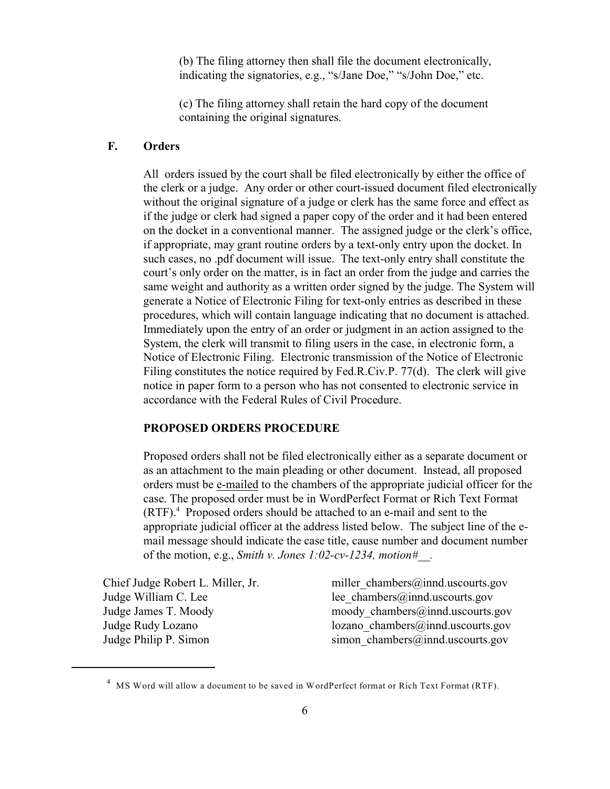(b) The filing attorney then shall file the document electronically, indicating the signatories, e.g., "s/Jane Doe," "s/John Doe," etc.

(c) The filing attorney shall retain the hard copy of the document containing the original signatures.

#### **F. Orders**

All orders issued by the court shall be filed electronically by either the office of the clerk or a judge. Any order or other court-issued document filed electronically without the original signature of a judge or clerk has the same force and effect as if the judge or clerk had signed a paper copy of the order and it had been entered on the docket in a conventional manner. The assigned judge or the clerk's office, if appropriate, may grant routine orders by a text-only entry upon the docket. In such cases, no .pdf document will issue. The text-only entry shall constitute the court's only order on the matter, is in fact an order from the judge and carries the same weight and authority as a written order signed by the judge. The System will generate a Notice of Electronic Filing for text-only entries as described in these procedures, which will contain language indicating that no document is attached. Immediately upon the entry of an order or judgment in an action assigned to the System, the clerk will transmit to filing users in the case, in electronic form, a Notice of Electronic Filing. Electronic transmission of the Notice of Electronic Filing constitutes the notice required by Fed.R.Civ.P. 77(d). The clerk will give notice in paper form to a person who has not consented to electronic service in accordance with the Federal Rules of Civil Procedure.

#### **PROPOSED ORDERS PROCEDURE**

Proposed orders shall not be filed electronically either as a separate document or as an attachment to the main pleading or other document. Instead, all proposed orders must be e-mailed to the chambers of the appropriate judicial officer for the case. The proposed order must be in WordPerfect Format or Rich Text Format  $(RTF)$ <sup>4</sup>. Proposed orders should be attached to an e-mail and sent to the appropriate judicial officer at the address listed below. The subject line of the email message should indicate the case title, cause number and document number of the motion, e.g., *Smith v. Jones 1:02-cv-1234, motion# .*

Chief Judge Robert L. Miller, Jr. miller chambers@innd.uscourts.gov Judge William C. Lee lee lee chambers@innd.uscourts.gov Judge James T. Moody moody chambers@innd.uscourts.gov Judge Rudy Lozano **lozano** lozano chambers@innd.uscourts.gov Judge Philip P. Simon simon simon chambers@innd.uscourts.gov

 $4$  MS Word will allow a document to be saved in WordPerfect format or Rich Text Format (RTF).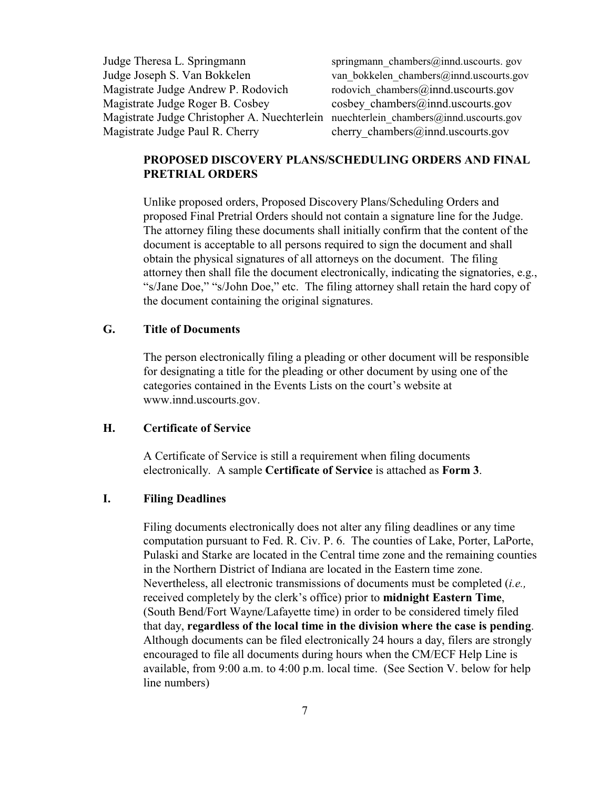Judge Theresa L. Springmann springmann springmann chambers@innd.uscourts. gov Judge Joseph S. Van Bokkelen van\_bokkelen\_chambers@innd.uscourts.gov Magistrate Judge Andrew P. Rodovich rodovich chambers@innd.uscourts.gov Magistrate Judge Roger B. Cosbey cosbey chambers@innd.uscourts.gov Magistrate Judge Christopher A. Nuechterlein nuechterlein chambers@innd.uscourts.gov Magistrate Judge Paul R. Cherry chambers@innd.uscourts.gov

#### **PROPOSED DISCOVERY PLANS/SCHEDULING ORDERS AND FINAL PRETRIAL ORDERS**

Unlike proposed orders, Proposed Discovery Plans/Scheduling Orders and proposed Final Pretrial Orders should not contain a signature line for the Judge. The attorney filing these documents shall initially confirm that the content of the document is acceptable to all persons required to sign the document and shall obtain the physical signatures of all attorneys on the document. The filing attorney then shall file the document electronically, indicating the signatories, e.g., "s/Jane Doe," "s/John Doe," etc. The filing attorney shall retain the hard copy of the document containing the original signatures.

### **G. Title of Documents**

The person electronically filing a pleading or other document will be responsible for designating a title for the pleading or other document by using one of the categories contained in the Events Lists on the court's website at www.innd.uscourts.gov.

#### **H. Certificate of Service**

A Certificate of Service is still a requirement when filing documents electronically. A sample **Certificate of Service** is attached as **Form 3**.

#### **I. Filing Deadlines**

Filing documents electronically does not alter any filing deadlines or any time computation pursuant to Fed. R. Civ. P. 6. The counties of Lake, Porter, LaPorte, Pulaski and Starke are located in the Central time zone and the remaining counties in the Northern District of Indiana are located in the Eastern time zone. Nevertheless, all electronic transmissions of documents must be completed (*i.e.,* received completely by the clerk's office) prior to **midnight Eastern Time**, (South Bend/Fort Wayne/Lafayette time) in order to be considered timely filed that day, **regardless of the local time in the division where the case is pending**. Although documents can be filed electronically 24 hours a day, filers are strongly encouraged to file all documents during hours when the CM/ECF Help Line is available, from 9:00 a.m. to 4:00 p.m. local time. (See Section V. below for help line numbers)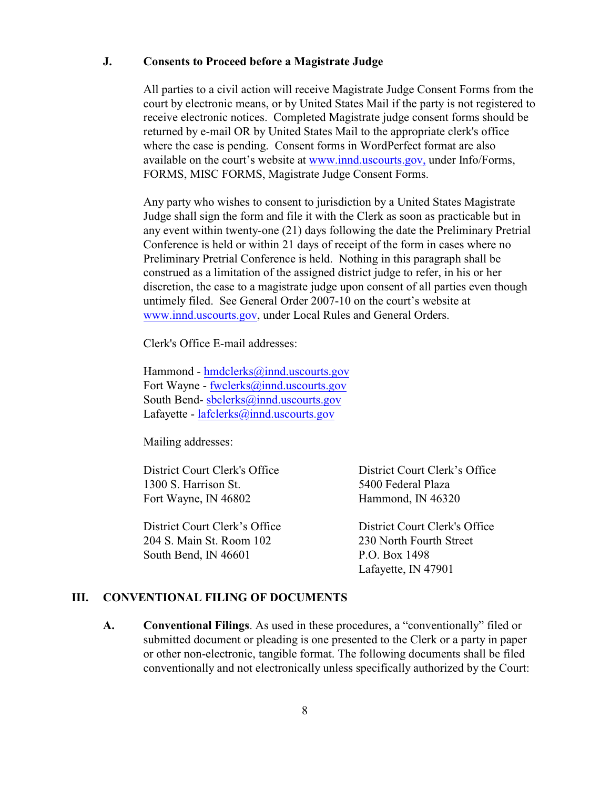#### **J. Consents to Proceed before a Magistrate Judge**

All parties to a civil action will receive Magistrate Judge Consent Forms from the court by electronic means, or by United States Mail if the party is not registered to receive electronic notices. Completed Magistrate judge consent forms should be returned by e-mail OR by United States Mail to the appropriate clerk's office where the case is pending. Consent forms in WordPerfect format are also available on the court's website at [www.innd.uscourts.gov,](http://www.innd.uscourts.gov,) under Info/Forms, FORMS, MISC FORMS, Magistrate Judge Consent Forms.

Any party who wishes to consent to jurisdiction by a United States Magistrate Judge shall sign the form and file it with the Clerk as soon as practicable but in any event within twenty-one (21) days following the date the Preliminary Pretrial Conference is held or within 21 days of receipt of the form in cases where no Preliminary Pretrial Conference is held. Nothing in this paragraph shall be construed as a limitation of the assigned district judge to refer, in his or her discretion, the case to a magistrate judge upon consent of all parties even though untimely filed. See General Order 2007-10 on the court's website at [www.innd.uscourts.gov](http://www.innd.uscourts.gov), under Local Rules and General Orders.

Clerk's Office E-mail addresses:

Hammond - [hmdclerks@innd.uscourts.gov](mailto:hmdclerks@innd.uscourts.gov) Fort Wayne - [fwclerks@innd.uscourts.gov](mailto:fwclerks@innd.uscourts.gov) South Bend- [sbclerks@innd.uscourts.gov](mailto:sbclerks@innd.uscourts.gov) Lafayette - [lafclerks@innd.uscourts.gov](mailto:lafclerks@innd.uscourts.gov)

Mailing addresses:

1300 S. Harrison St. 5400 Federal Plaza Fort Wayne, IN 46802 Hammond, IN 46320

204 S. Main St. Room 102 230 North Fourth Street South Bend, IN 46601 P.O. Box 1498

District Court Clerk's Office District Court Clerk's Office

District Court Clerk's Office District Court Clerk's Office Lafayette, IN 47901

#### **III. CONVENTIONAL FILING OF DOCUMENTS**

**A. Conventional Filings**. As used in these procedures, a "conventionally" filed or submitted document or pleading is one presented to the Clerk or a party in paper or other non-electronic, tangible format. The following documents shall be filed conventionally and not electronically unless specifically authorized by the Court: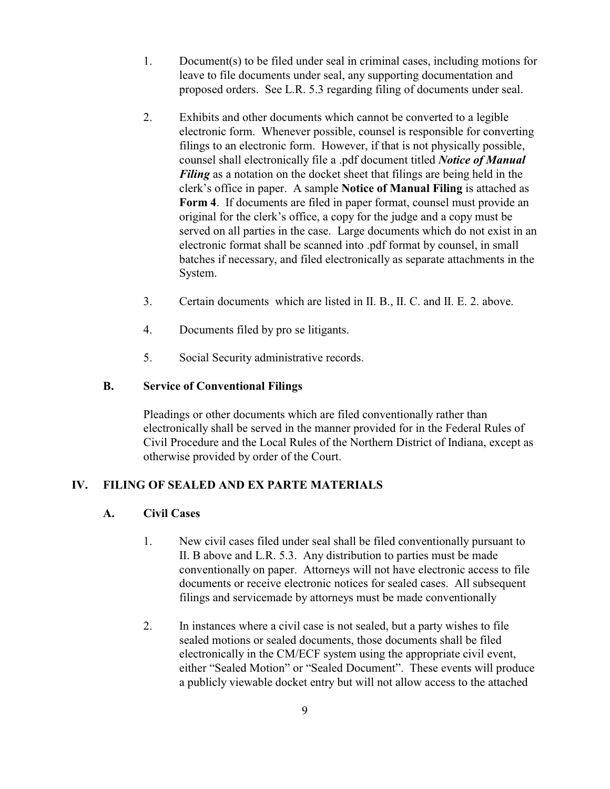- 1. Document(s) to be filed under seal in criminal cases, including motions for leave to file documents under seal, any supporting documentation and proposed orders. See L.R. 5.3 regarding filing of documents under seal.
- 2. Exhibits and other documents which cannot be converted to a legible electronic form. Whenever possible, counsel is responsible for converting filings to an electronic form. However, if that is not physically possible, counsel shall electronically file a .pdf document titled *Notice of Manual Filing* as a notation on the docket sheet that filings are being held in the clerk's office in paper. A sample **Notice of Manual Filing** is attached as **Form 4**. If documents are filed in paper format, counsel must provide an original for the clerk's office, a copy for the judge and a copy must be served on all parties in the case. Large documents which do not exist in an electronic format shall be scanned into .pdf format by counsel, in small batches if necessary, and filed electronically as separate attachments in the System.
- 3. Certain documents which are listed in II. B., II. C. and II. E. 2. above.
- 4. Documents filed by pro se litigants.
- 5. Social Security administrative records.

#### **B. Service of Conventional Filings**

Pleadings or other documents which are filed conventionally rather than electronically shall be served in the manner provided for in the Federal Rules of Civil Procedure and the Local Rules of the Northern District of Indiana, except as otherwise provided by order of the Court.

#### **IV. FILING OF SEALED AND EX PARTE MATERIALS**

#### **A. Civil Cases**

- 1. New civil cases filed under seal shall be filed conventionally pursuant to II. B above and L.R. 5.3. Any distribution to parties must be made conventionally on paper. Attorneys will not have electronic access to file documents or receive electronic notices for sealed cases. All subsequent filings and servicemade by attorneys must be made conventionally
- 2. In instances where a civil case is not sealed, but a party wishes to file sealed motions or sealed documents, those documents shall be filed electronically in the CM/ECF system using the appropriate civil event, either "Sealed Motion" or "Sealed Document". These events will produce a publicly viewable docket entry but will not allow access to the attached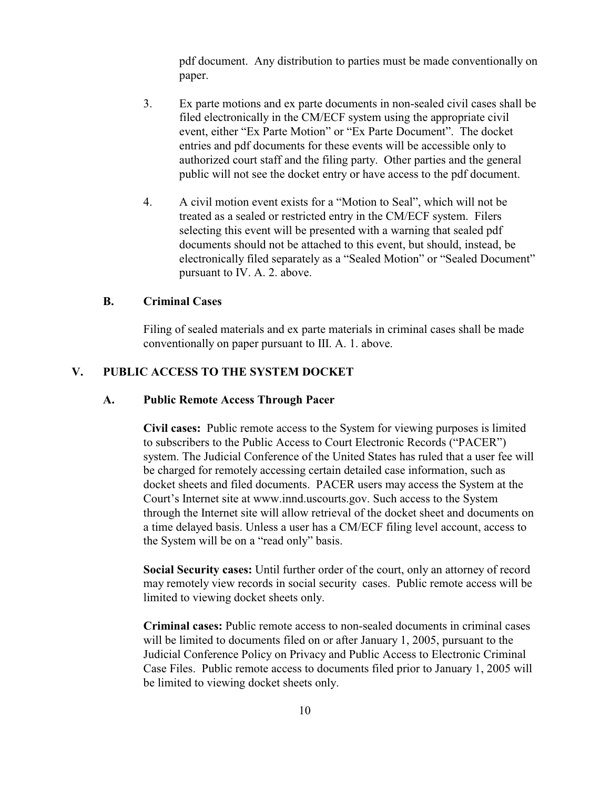pdf document. Any distribution to parties must be made conventionally on paper.

- 3. Ex parte motions and ex parte documents in non-sealed civil cases shall be filed electronically in the CM/ECF system using the appropriate civil event, either "Ex Parte Motion" or "Ex Parte Document". The docket entries and pdf documents for these events will be accessible only to authorized court staff and the filing party. Other parties and the general public will not see the docket entry or have access to the pdf document.
- 4. A civil motion event exists for a "Motion to Seal", which will not be treated as a sealed or restricted entry in the CM/ECF system. Filers selecting this event will be presented with a warning that sealed pdf documents should not be attached to this event, but should, instead, be electronically filed separately as a "Sealed Motion" or "Sealed Document" pursuant to IV. A. 2. above.

#### **B. Criminal Cases**

Filing of sealed materials and ex parte materials in criminal cases shall be made conventionally on paper pursuant to III. A. 1. above.

#### **V. PUBLIC ACCESS TO THE SYSTEM DOCKET**

#### **A. Public Remote Access Through Pacer**

**Civil cases:** Public remote access to the System for viewing purposes is limited to subscribers to the Public Access to Court Electronic Records ("PACER") system. The Judicial Conference of the United States has ruled that a user fee will be charged for remotely accessing certain detailed case information, such as docket sheets and filed documents. PACER users may access the System at the Court's Internet site at www.innd.uscourts.gov. Such access to the System through the Internet site will allow retrieval of the docket sheet and documents on a time delayed basis. Unless a user has a CM/ECF filing level account, access to the System will be on a "read only" basis.

**Social Security cases:** Until further order of the court, only an attorney of record may remotely view records in social security cases. Public remote access will be limited to viewing docket sheets only.

**Criminal cases:** Public remote access to non-sealed documents in criminal cases will be limited to documents filed on or after January 1, 2005, pursuant to the Judicial Conference Policy on Privacy and Public Access to Electronic Criminal Case Files. Public remote access to documents filed prior to January 1, 2005 will be limited to viewing docket sheets only.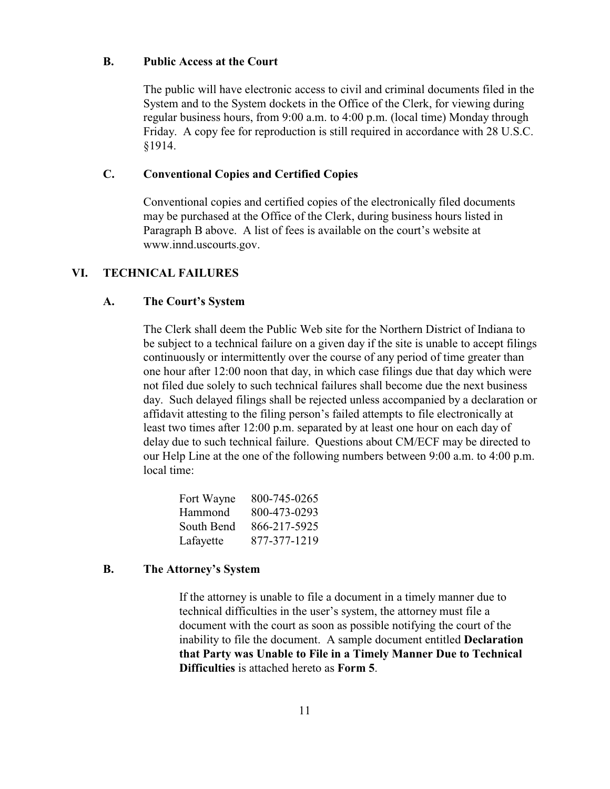#### **B. Public Access at the Court**

The public will have electronic access to civil and criminal documents filed in the System and to the System dockets in the Office of the Clerk, for viewing during regular business hours, from 9:00 a.m. to 4:00 p.m. (local time) Monday through Friday. A copy fee for reproduction is still required in accordance with 28 U.S.C. §1914.

#### **C. Conventional Copies and Certified Copies**

Conventional copies and certified copies of the electronically filed documents may be purchased at the Office of the Clerk, during business hours listed in Paragraph B above. A list of fees is available on the court's website at www.innd.uscourts.gov.

#### **VI. TECHNICAL FAILURES**

#### **A. The Court's System**

The Clerk shall deem the Public Web site for the Northern District of Indiana to be subject to a technical failure on a given day if the site is unable to accept filings continuously or intermittently over the course of any period of time greater than one hour after 12:00 noon that day, in which case filings due that day which were not filed due solely to such technical failures shall become due the next business day. Such delayed filings shall be rejected unless accompanied by a declaration or affidavit attesting to the filing person's failed attempts to file electronically at least two times after 12:00 p.m. separated by at least one hour on each day of delay due to such technical failure. Questions about CM/ECF may be directed to our Help Line at the one of the following numbers between 9:00 a.m. to 4:00 p.m. local time:

| Fort Wayne | 800-745-0265 |
|------------|--------------|
| Hammond    | 800-473-0293 |
| South Bend | 866-217-5925 |
| Lafayette  | 877-377-1219 |

#### **B. The Attorney's System**

If the attorney is unable to file a document in a timely manner due to technical difficulties in the user's system, the attorney must file a document with the court as soon as possible notifying the court of the inability to file the document. A sample document entitled **Declaration that Party was Unable to File in a Timely Manner Due to Technical Difficulties** is attached hereto as **Form 5**.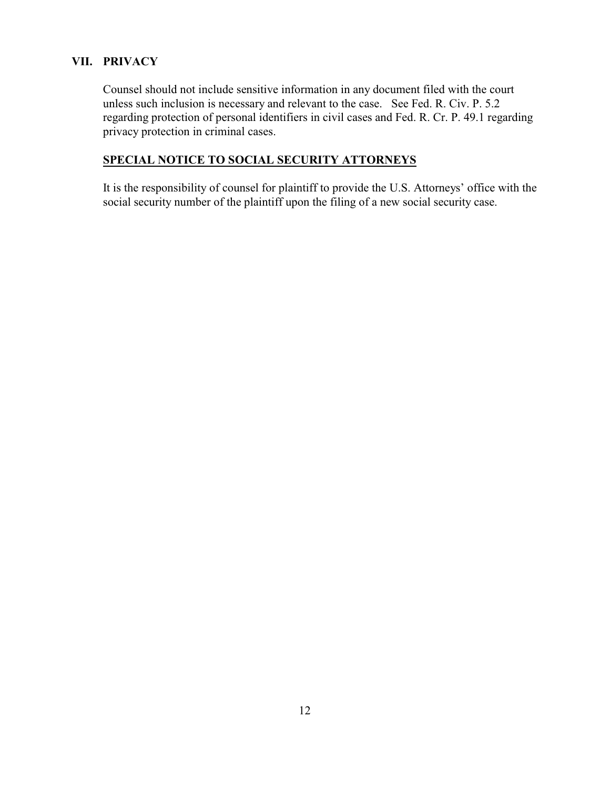## **VII. PRIVACY**

Counsel should not include sensitive information in any document filed with the court unless such inclusion is necessary and relevant to the case. See Fed. R. Civ. P. 5.2 regarding protection of personal identifiers in civil cases and Fed. R. Cr. P. 49.1 regarding privacy protection in criminal cases.

## **SPECIAL NOTICE TO SOCIAL SECURITY ATTORNEYS**

It is the responsibility of counsel for plaintiff to provide the U.S. Attorneys' office with the social security number of the plaintiff upon the filing of a new social security case.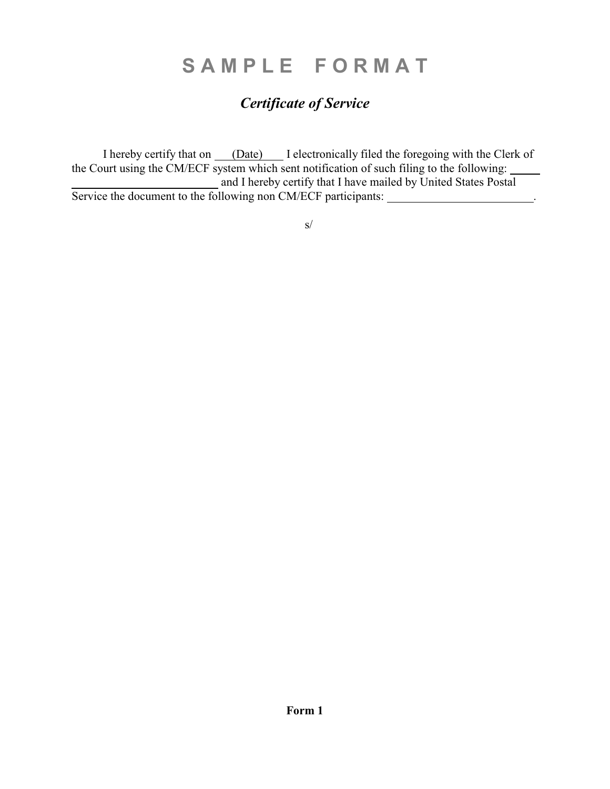# SAMPLE FORMAT

## *Certificate of Service*

I hereby certify that on (Date) I electronically filed the foregoing with the Clerk of the Court using the CM/ECF system which sent notification of such filing to the following: and I hereby certify that I have mailed by United States Postal Service the document to the following non CM/ECF participants: \_\_\_\_\_\_\_\_\_\_\_\_\_\_\_\_\_\_\_\_\_\_\_.

 $s/$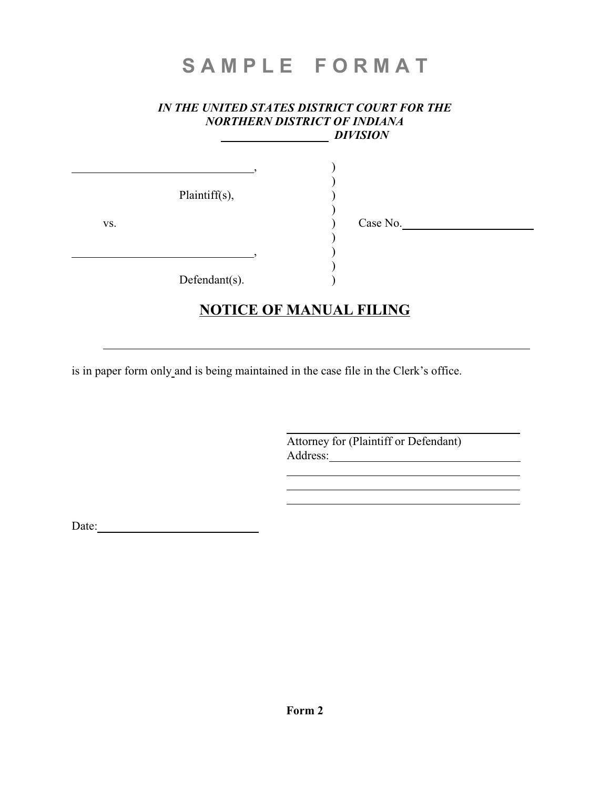# SAMPLE FORMAT

## *IN THE UNITED STATES DISTRICT COURT FOR THE NORTHERN DISTRICT OF INDIANA DIVISION*

|     | Plaintiff(s), |          |
|-----|---------------|----------|
| VS. |               | Case No. |
|     | Defendant(s). |          |

## **NOTICE OF MANUAL FILING**

is in paper form only and is being maintained in the case file in the Clerk's office.

l

 $\overline{a}$ Attorney for (Plaintiff or Defendant) Address:

> <u> 1980 - Johann Barbara, martin amerikan basar dan basar dan basar dalam basar dalam basar dalam basar dalam b</u>

Date:

 $\overline{a}$